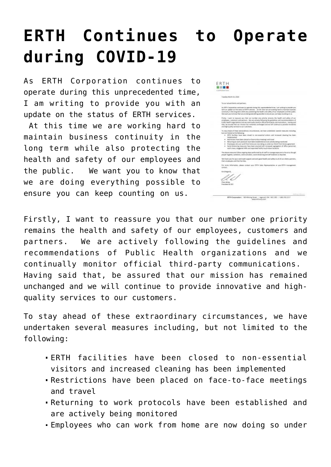## **[ERTH Continues to Operate](https://www.erthcorp.com/2020/04/06/erth-continues-to-operate-during-covid-19/) [during COVID-19](https://www.erthcorp.com/2020/04/06/erth-continues-to-operate-during-covid-19/)**

As ERTH Corporation continues to operate during this unprecedented time, I am writing to provide you with an update on the status of ERTH services.

 At this time we are working hard to maintain business continuity in the long term while also protecting the health and safety of our employees and the public. We want you to know that we are doing everything possible to ensure you can keep counting on us.

| COMPOSATION                  |                                                                                                                                                                                                                                                                                                                                                                                                                                                                                                                                                                                       |
|------------------------------|---------------------------------------------------------------------------------------------------------------------------------------------------------------------------------------------------------------------------------------------------------------------------------------------------------------------------------------------------------------------------------------------------------------------------------------------------------------------------------------------------------------------------------------------------------------------------------------|
|                              | Tuesday Heard 24, 2022                                                                                                                                                                                                                                                                                                                                                                                                                                                                                                                                                                |
|                              | Jacket Mag brand dealers and services.                                                                                                                                                                                                                                                                                                                                                                                                                                                                                                                                                |
|                              | As ERFW Conservations continues, by operate studing Oris propresentented times, I am ranking in provider your<br>suit is an capital error the status of DETA services. At this descript per service log hard to exprisive business.<br>northingly in the lang term rubbs also protesting the bealth and safety of our employees and the public.<br>We want you to know that we are deling manything you also to excee use can happ rounting on as-                                                                                                                                    |
|                              | Firstly, I want to teasure you that out number one priority tenains the health and salety of our<br>enginees, currents and permany, the are six sely following the guidelines and recommendations of<br>Public Health organizations and we continuelly monitor official third-party communications. Healing seed<br>that, be assured that as " mission has remained unchanged and we will continue to provide innovative<br>and high-quality services to per customers.                                                                                                               |
|                              | To stay ahead of these extraordinary directed areas, we have undertaken revent messures including.                                                                                                                                                                                                                                                                                                                                                                                                                                                                                    |
|                              | last cut limited to the following:<br>n FETH facilities have been closed to non-examinal statem and increased cleaning has been<br><b>Incienanted</b><br>. Next trians have been depended from the meetings and trians?<br>. Between the next protocol, have been established and are actively being numbered<br>. Employees reholder/work from home ansinous deling on under our Work From itioms agree<br>. Sacal distancing measures have been exacted with increased sagregation of affice personnel,<br>work oraws, stagement shifts and separated tholds to uch-down locations. |
|                              | The state missures follow angoing these performed by all staff to reasons requirements the what though<br>prepar hopkers, contactor, communication, cooled distancing anciunit tustation acceptant.                                                                                                                                                                                                                                                                                                                                                                                   |
|                              | We then you for your continued support and mich good health and safety to all of our clients partners.<br>their ortalesses and their families."                                                                                                                                                                                                                                                                                                                                                                                                                                       |
| corport.                     | For more information, please content your BETH Sales Representation or your BETH managem                                                                                                                                                                                                                                                                                                                                                                                                                                                                                              |
| tind Regards.<br>Cheis White | Frencisland & CEO                                                                                                                                                                                                                                                                                                                                                                                                                                                                                                                                                                     |

Firstly, I want to reassure you that our number one priority remains the health and safety of our employees, customers and partners. We are actively following the guidelines and recommendations of Public Health organizations and we continually monitor official third-party communications. Having said that, be assured that our mission has remained unchanged and we will continue to provide innovative and highquality services to our customers.

To stay ahead of these extraordinary circumstances, we have undertaken several measures including, but not limited to the following:

- ERTH facilities have been closed to non-essential visitors and increased cleaning has been implemented
- Restrictions have been placed on face-to-face meetings and travel
- Returning to work protocols have been established and are actively being monitored
- Employees who can work from home are now doing so under